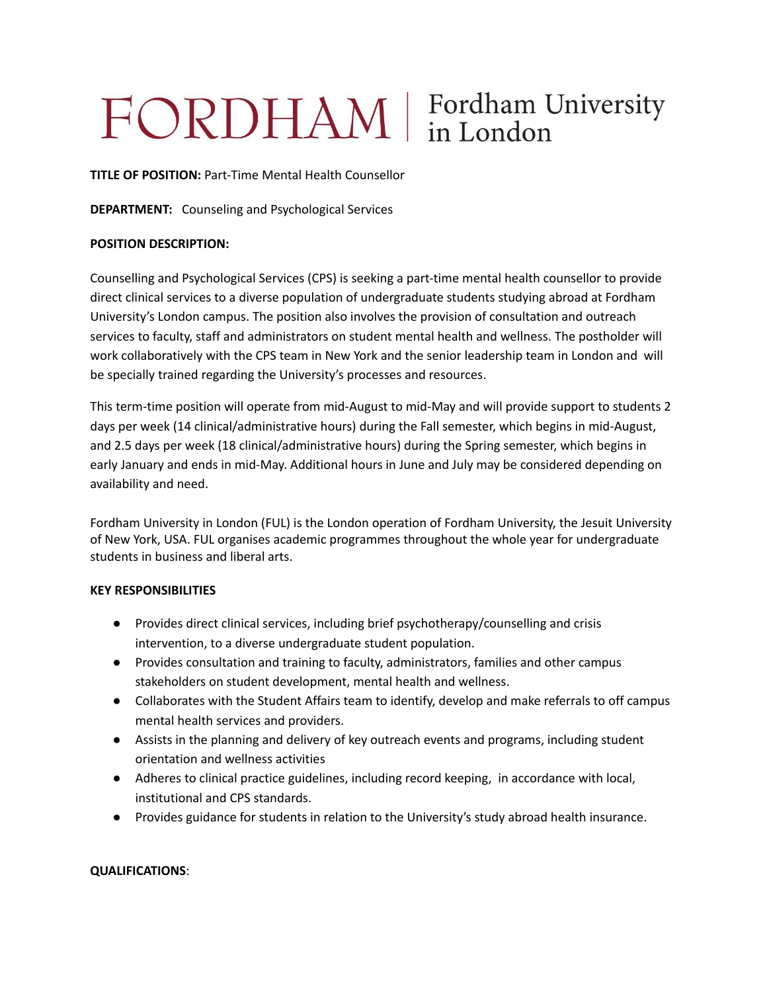# FORDHAM | Fordham University

**TITLE OF POSITION:** Part-Time Mental Health Counsellor

**DEPARTMENT:** Counseling and Psychological Services

### **POSITION DESCRIPTION:**

Counselling and Psychological Services (CPS) is seeking a part-time mental health counsellor to provide direct clinical services to a diverse population of undergraduate students studying abroad at Fordham University's London campus. The position also involves the provision of consultation and outreach services to faculty, staff and administrators on student mental health and wellness. The postholder will work collaboratively with the CPS team in New York and the senior leadership team in London and will be specially trained regarding the University's processes and resources.

This term-time position will operate from mid-August to mid-May and will provide support to students 2 days per week (14 clinical/administrative hours) during the Fall semester, which begins in mid-August, and 2.5 days per week (18 clinical/administrative hours) during the Spring semester, which begins in early January and ends in mid-May. Additional hours in June and July may be considered depending on availability and need.

Fordham University in London (FUL) is the London operation of Fordham University, the Jesuit University of New York, USA. FUL organises academic programmes throughout the whole year for undergraduate students in business and liberal arts.

#### **KEY RESPONSIBILITIES**

- Provides direct clinical services, including brief psychotherapy/counselling and crisis intervention, to a diverse undergraduate student population.
- Provides consultation and training to faculty, administrators, families and other campus stakeholders on student development, mental health and wellness.
- Collaborates with the Student Affairs team to identify, develop and make referrals to off campus mental health services and providers.
- Assists in the planning and delivery of key outreach events and programs, including student orientation and wellness activities
- Adheres to clinical practice guidelines, including record keeping, in accordance with local, institutional and CPS standards.
- Provides guidance for students in relation to the University's study abroad health insurance.

## **QUALIFICATIONS**: